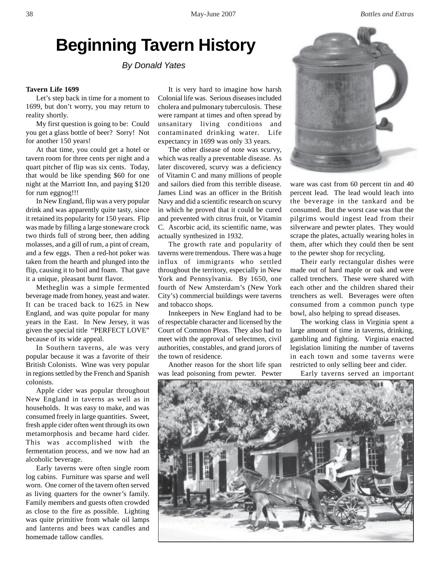# **Beginning Tavern History**

*By Donald Yates*

### **Tavern Life 1699**

Let's step back in time for a moment to 1699, but don't worry, you may return to reality shortly.

My first question is going to be: Could you get a glass bottle of beer? Sorry! Not for another 150 years!

At that time, you could get a hotel or tavern room for three cents per night and a quart pitcher of flip was six cents. Today, that would be like spending \$60 for one night at the Marriott Inn, and paying \$120 for rum eggnog!!!

In New England, flip was a very popular drink and was apparently quite tasty, since it retained its popularity for 150 years. Flip was made by filling a large stoneware crock two thirds full of strong beer, then adding molasses, and a gill of rum, a pint of cream, and a few eggs. Then a red-hot poker was taken from the hearth and plunged into the flip, causing it to boil and foam. That gave it a unique, pleasant burnt flavor.

Metheglin was a simple fermented beverage made from honey, yeast and water. It can be traced back to 1625 in New England, and was quite popular for many years in the East. In New Jersey, it was given the special title "PERFECT LOVE" because of its wide appeal.

In Southern taverns, ale was very popular because it was a favorite of their British Colonists. Wine was very popular in regions settled by the French and Spanish colonists.

Apple cider was popular throughout New England in taverns as well as in households. It was easy to make, and was consumed freely in large quantities. Sweet, fresh apple cider often went through its own metamorphosis and became hard cider. This was accomplished with the fermentation process, and we now had an alcoholic beverage.

Early taverns were often single room log cabins. Furniture was sparse and well worn. One corner of the tavern often served as living quarters for the owner's family. Family members and guests often crowded as close to the fire as possible. Lighting was quite primitive from whale oil lamps and lanterns and bees wax candles and homemade tallow candles.

It is very hard to imagine how harsh Colonial life was. Serious diseases included cholera and pulmonary tuberculosis. These were rampant at times and often spread by unsanitary living conditions and contaminated drinking water. Life expectancy in 1699 was only 33 years.

The other disease of note was scurvy, which was really a preventable disease. As later discovered, scurvy was a deficiency of Vitamin C and many millions of people and sailors died from this terrible disease. James Lind was an officer in the British Navy and did a scientific research on scurvy in which he proved that it could be cured and prevented with citrus fruit, or Vitamin C. Ascorbic acid, its scientific name, was actually synthesized in 1932.

The growth rate and popularity of taverns were tremendous. There was a huge influx of immigrants who settled throughout the territory, especially in New York and Pennsylvania. By 1650, one fourth of New Amsterdam's (New York City's) commercial buildings were taverns and tobacco shops.

Innkeepers in New England had to be of respectable character and licensed by the Court of Common Pleas. They also had to meet with the approval of selectmen, civil authorities, constables, and grand jurors of the town of residence.

Another reason for the short life span was lead poisoning from pewter. Pewter



ware was cast from 60 percent tin and 40 percent lead. The lead would leach into the beverage in the tankard and be consumed. But the worst case was that the pilgrims would ingest lead from their silverware and pewter plates. They would scrape the plates, actually wearing holes in them, after which they could then be sent to the pewter shop for recycling.

Their early rectangular dishes were made out of hard maple or oak and were called trenchers. These were shared with each other and the children shared their trenchers as well. Beverages were often consumed from a common punch type bowl, also helping to spread diseases.

The working class in Virginia spent a large amount of time in taverns, drinking, gambling and fighting. Virginia enacted legislation limiting the number of taverns in each town and some taverns were restricted to only selling beer and cider.

Early taverns served an important

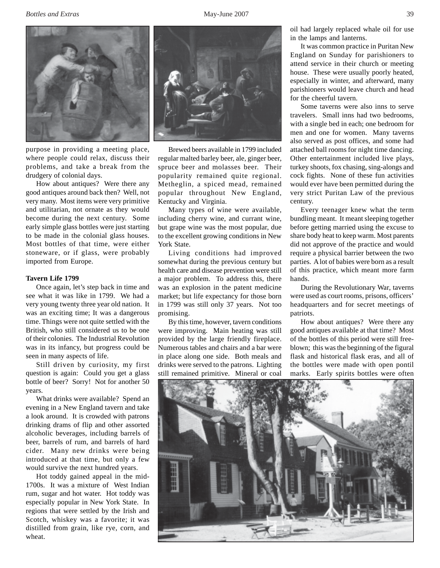**Bottles and Extras** 39



purpose in providing a meeting place, where people could relax, discuss their problems, and take a break from the drudgery of colonial days.

How about antiques? Were there any good antiques around back then? Well, not very many. Most items were very primitive and utilitarian, not ornate as they would become during the next century. Some early simple glass bottles were just starting to be made in the colonial glass houses. Most bottles of that time, were either stoneware, or if glass, were probably imported from Europe.

#### **Tavern Life 1799**

Once again, let's step back in time and see what it was like in 1799. We had a very young twenty three year old nation. It was an exciting time; It was a dangerous time. Things were not quite settled with the British, who still considered us to be one of their colonies. The Industrial Revolution was in its infancy, but progress could be seen in many aspects of life.

Still driven by curiosity, my first question is again: Could you get a glass bottle of beer? Sorry! Not for another 50 years.

What drinks were available? Spend an evening in a New England tavern and take a look around. It is crowded with patrons drinking drams of flip and other assorted alcoholic beverages, including barrels of beer, barrels of rum, and barrels of hard cider. Many new drinks were being introduced at that time, but only a few would survive the next hundred years.

Hot toddy gained appeal in the mid-1700s. It was a mixture of West Indian rum, sugar and hot water. Hot toddy was especially popular in New York State. In regions that were settled by the Irish and Scotch, whiskey was a favorite; it was distilled from grain, like rye, corn, and wheat.



Brewed beers available in 1799 included regular malted barley beer, ale, ginger beer, spruce beer and molasses beer. Their popularity remained quite regional. Metheglin, a spiced mead, remained popular throughout New England, Kentucky and Virginia.

Many types of wine were available, including cherry wine, and currant wine, but grape wine was the most popular, due to the excellent growing conditions in New York State.

Living conditions had improved somewhat during the previous century but health care and disease prevention were still a major problem. To address this, there was an explosion in the patent medicine market; but life expectancy for those born in 1799 was still only 37 years. Not too promising.

By this time, however, tavern conditions were improving. Main heating was still provided by the large friendly fireplace. Numerous tables and chairs and a bar were in place along one side. Both meals and drinks were served to the patrons. Lighting still remained primitive. Mineral or coal

oil had largely replaced whale oil for use in the lamps and lanterns.

It was common practice in Puritan New England on Sunday for parishioners to attend service in their church or meeting house. These were usually poorly heated, especially in winter, and afterward, many parishioners would leave church and head for the cheerful tavern.

Some taverns were also inns to serve travelers. Small inns had two bedrooms, with a single bed in each; one bedroom for men and one for women. Many taverns also served as post offices, and some had attached ball rooms for night time dancing. Other entertainment included live plays, turkey shoots, fox chasing, sing-alongs and cock fights. None of these fun activities would ever have been permitted during the very strict Puritan Law of the previous century.

Every teenager knew what the term bundling meant. It meant sleeping together before getting married using the excuse to share body heat to keep warm. Most parents did not approve of the practice and would require a physical barrier between the two parties. A lot of babies were born as a result of this practice, which meant more farm hands.

During the Revolutionary War, taverns were used as court rooms, prisons, officers' headquarters and for secret meetings of patriots.

How about antiques? Were there any good antiques available at that time? Most of the bottles of this period were still freeblown; this was the beginning of the figural flask and historical flask eras, and all of the bottles were made with open pontil marks. Early spirits bottles were often

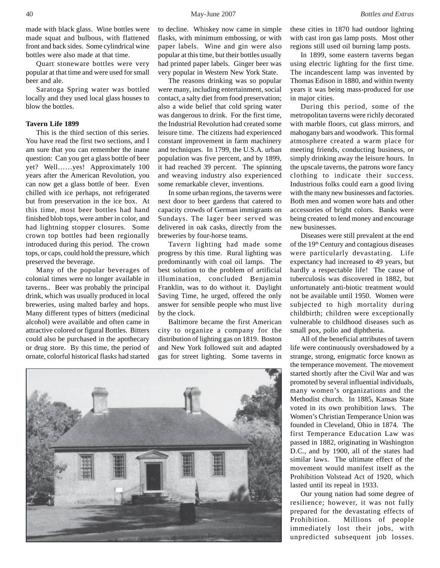Quart stoneware bottles were very popular at that time and were used for small beer and ale.

Saratoga Spring water was bottled locally and they used local glass houses to blow the bottles.

# **Tavern Life 1899**

This is the third section of this series. You have read the first two sections, and I am sure that you can remember the inane question: Can you get a glass bottle of beer yet? Well……yes! Approximately 100 years after the American Revolution, you can now get a glass bottle of beer. Even chilled with ice perhaps, not refrigerated but from preservation in the ice box. At this time, most beer bottles had hand finished blob tops, were amber in color, and had lightning stopper closures. Some crown top bottles had been regionally introduced during this period. The crown tops, or caps, could hold the pressure, which preserved the beverage.

Many of the popular beverages of colonial times were no longer available in taverns.. Beer was probably the principal drink, which was usually produced in local breweries, using malted barley and hops. Many different types of bitters (medicinal alcohol) were available and often came in attractive colored or figural Bottles. Bitters could also be purchased in the apothecary or drug store. By this time, the period of ornate, colorful historical flasks had started

to decline. Whiskey now came in simple flasks, with minimum embossing, or with paper labels. Wine and gin were also popular at this time, but their bottles usually had printed paper labels. Ginger beer was very popular in Western New York State.

The reasons drinking was so popular were many, including entertainment, social contact, a salty diet from food preservation; also a wide belief that cold spring water was dangerous to drink. For the first time, the Industrial Revolution had created some leisure time. The citizens had experienced constant improvement in farm machinery and techniques. In 1799, the U.S.A. urban population was five percent, and by 1899, it had reached 39 percent. The spinning and weaving industry also experienced some remarkable clever, inventions.

In some urban regions, the taverns were next door to beer gardens that catered to capacity crowds of German immigrants on Sundays. The lager beer served was delivered in oak casks, directly from the breweries by four-horse teams.

Tavern lighting had made some progress by this time. Rural lighting was predominantly with coal oil lamps. The best solution to the problem of artificial illumination, concluded Benjamin Franklin, was to do without it. Daylight Saving Time, he urged, offered the only answer for sensible people who must live by the clock.

Baltimore became the first American city to organize a company for the distribution of lighting gas on 1819. Boston and New York followed suit and adapted gas for street lighting. Some taverns in



these cities in 1870 had outdoor lighting with cast iron gas lamp posts. Most other regions still used oil burning lamp posts.

In 1899, some eastern taverns began using electric lighting for the first time. The incandescent lamp was invented by Thomas Edison in 1880, and within twenty years it was being mass-produced for use in major cities.

During this period, some of the metropolitan taverns were richly decorated with marble floors, cut glass mirrors, and mahogany bars and woodwork. This formal atmosphere created a warm place for meeting friends, conducting business, or simply drinking away the leisure hours. In the upscale taverns, the patrons wore fancy clothing to indicate their success. Industrious folks could earn a good living with the many new businesses and factories. Both men and women wore hats and other accessories of bright colors. Banks were being created to lend money and encourage new businesses.

Diseases were still prevalent at the end of the 19<sup>th</sup> Century and contagious diseases were particularly devastating. Life expectancy had increased to 49 years, but hardly a respectable life! The cause of tuberculosis was discovered in 1882, but unfortunately anti-biotic treatment would not be available until 1950. Women were subjected to high mortality during childbirth; children were exceptionally vulnerable to childhood diseases such as small pox, polio and diphtheria.

All of the beneficial attributes of tavern life were continuously overshadowed by a strange, strong, enigmatic force known as the temperance movement. The movement started shortly after the Civil War and was promoted by several influential individuals, many women's organizations and the Methodist church. In 1885, Kansas State voted in its own prohibition laws. The Women's Christian Temperance Union was founded in Cleveland, Ohio in 1874. The first Temperance Education Law was passed in 1882, originating in Washington D.C., and by 1900, all of the states had similar laws. The ultimate effect of the movement would manifest itself as the Prohibition Volstead Act of 1920, which lasted until its repeal in 1933.

Our young nation had some degree of resilience; however, it was not fully prepared for the devastating effects of Prohibition. Millions of people immediately lost their jobs, with unpredicted subsequent job losses.